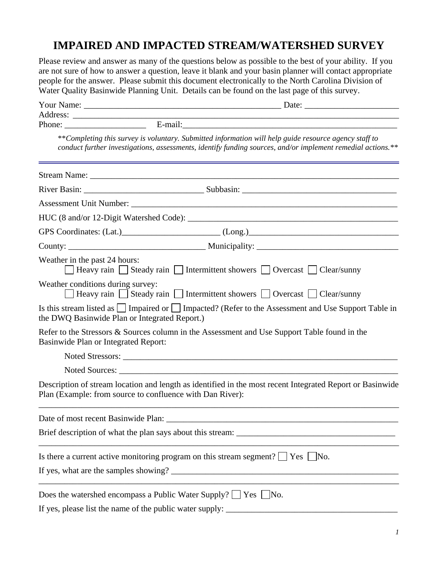# **IMPAIRED AND IMPACTED STREAM/WATERSHED SURVEY**

Please review and answer as many of the questions below as possible to the best of your ability. If you are not sure of how to answer a question, leave it blank and your basin planner will contact appropriate people for the answer. Please submit this document electronically to the North Carolina Division of Water Quality Basinwide Planning Unit. Details can be found on the last page of this survey.

|                                      | **Completing this survey is voluntary. Submitted information will help guide resource agency staff to<br>conduct further investigations, assessments, identify funding sources, and/or implement remedial actions.** |
|--------------------------------------|----------------------------------------------------------------------------------------------------------------------------------------------------------------------------------------------------------------------|
|                                      |                                                                                                                                                                                                                      |
|                                      |                                                                                                                                                                                                                      |
|                                      |                                                                                                                                                                                                                      |
|                                      |                                                                                                                                                                                                                      |
|                                      |                                                                                                                                                                                                                      |
|                                      |                                                                                                                                                                                                                      |
| Weather in the past 24 hours:        | □ Heavy rain Steady rain Intermittent showers Overcast Intermittent Showers Access 10                                                                                                                                |
| Weather conditions during survey:    | □ Heavy rain □ Steady rain □ Intermittent showers □ Overcast □ Clear/sunny                                                                                                                                           |
|                                      | Is this stream listed as $\Box$ Impaired or $\Box$ Impacted? (Refer to the Assessment and Use Support Table in<br>the DWQ Basinwide Plan or Integrated Report.)                                                      |
| Basinwide Plan or Integrated Report: | Refer to the Stressors & Sources column in the Assessment and Use Support Table found in the                                                                                                                         |
|                                      |                                                                                                                                                                                                                      |
|                                      |                                                                                                                                                                                                                      |
|                                      | Description of stream location and length as identified in the most recent Integrated Report or Basinwide<br>Plan (Example: from source to confluence with Dan River):                                               |
| Date of most recent Basinwide Plan:  |                                                                                                                                                                                                                      |
|                                      |                                                                                                                                                                                                                      |
|                                      | Is there a current active monitoring program on this stream segment? $\Box$ Yes $\Box$ No.                                                                                                                           |
|                                      |                                                                                                                                                                                                                      |
|                                      | Does the watershed encompass a Public Water Supply? $\Box$ Yes $\Box$ No.                                                                                                                                            |
|                                      | If yes, please list the name of the public water supply:                                                                                                                                                             |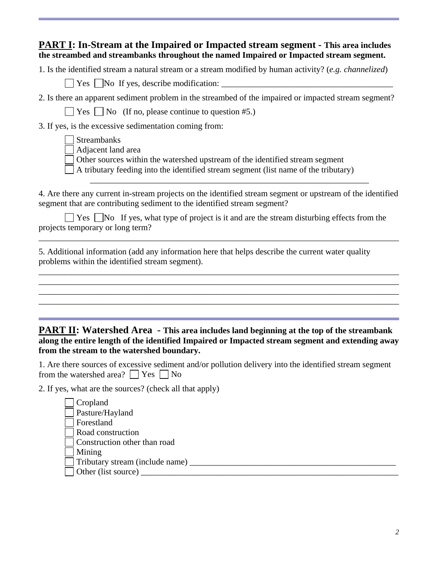### **PART I: In-Stream at the Impaired or Impacted stream segment - This area includes the streambed and streambanks throughout the named Impaired or Impacted stream segment.**

1. Is the identified stream a natural stream or a stream modified by human activity? (*e.g. channelized*)

 $\Box$  Yes  $\Box$  No If yes, describe modification:  $\Box$ 

 $\Box$  Yes  $\Box$  No (If no, please continue to question #5.)

3. If yes, is the excessive sedimentation coming from:

Adjacent land area

Other sources within the watershed upstream of the identified stream segment

 $\overline{\phantom{a}}$  ,  $\overline{\phantom{a}}$  ,  $\overline{\phantom{a}}$  ,  $\overline{\phantom{a}}$  ,  $\overline{\phantom{a}}$  ,  $\overline{\phantom{a}}$  ,  $\overline{\phantom{a}}$  ,  $\overline{\phantom{a}}$  ,  $\overline{\phantom{a}}$  ,  $\overline{\phantom{a}}$  ,  $\overline{\phantom{a}}$  ,  $\overline{\phantom{a}}$  ,  $\overline{\phantom{a}}$  ,  $\overline{\phantom{a}}$  ,  $\overline{\phantom{a}}$  ,  $\overline{\phantom{a}}$ 

 $\Box$  A tributary feeding into the identified stream segment (list name of the tributary)

4. Are there any current in-stream projects on the identified stream segment or upstream of the identified segment that are contributing sediment to the identified stream segment?

\_\_\_\_\_\_\_\_\_\_\_\_\_\_\_\_\_\_\_\_\_\_\_\_\_\_\_\_\_\_\_\_\_\_\_\_\_\_\_\_\_\_\_\_\_\_\_\_\_\_\_\_\_\_\_\_\_\_\_\_\_\_\_\_\_\_\_\_\_\_\_\_\_\_\_\_\_\_\_\_\_\_\_\_

\_\_\_\_\_\_\_\_\_\_\_\_\_\_\_\_\_\_\_\_\_\_\_\_\_\_\_\_\_\_\_\_\_\_\_\_\_\_\_\_\_\_\_\_\_\_\_\_\_\_\_\_\_\_\_\_\_\_\_\_\_\_\_\_\_\_\_\_\_\_\_\_\_\_\_\_\_\_\_\_\_\_\_\_ \_\_\_\_\_\_\_\_\_\_\_\_\_\_\_\_\_\_\_\_\_\_\_\_\_\_\_\_\_\_\_\_\_\_\_\_\_\_\_\_\_\_\_\_\_\_\_\_\_\_\_\_\_\_\_\_\_\_\_\_\_\_\_\_\_\_\_\_\_\_\_\_\_\_\_\_\_\_\_\_\_\_\_\_ \_\_\_\_\_\_\_\_\_\_\_\_\_\_\_\_\_\_\_\_\_\_\_\_\_\_\_\_\_\_\_\_\_\_\_\_\_\_\_\_\_\_\_\_\_\_\_\_\_\_\_\_\_\_\_\_\_\_\_\_\_\_\_\_\_\_\_\_\_\_\_\_\_\_\_\_\_\_\_\_\_\_\_\_ \_\_\_\_\_\_\_\_\_\_\_\_\_\_\_\_\_\_\_\_\_\_\_\_\_\_\_\_\_\_\_\_\_\_\_\_\_\_\_\_\_\_\_\_\_\_\_\_\_\_\_\_\_\_\_\_\_\_\_\_\_\_\_\_\_\_\_\_\_\_\_\_\_\_\_\_\_\_\_\_\_\_\_\_

 $\Box$  Yes  $\Box$  No If yes, what type of project is it and are the stream disturbing effects from the projects temporary or long term?

5. Additional information (add any information here that helps describe the current water quality problems within the identified stream segment).

#### **PART II: Watershed Area - This area includes land beginning at the top of the streambank along the entire length of the identified Impaired or Impacted stream segment and extending away from the stream to the watershed boundary.**

1. Are there sources of excessive sediment and/or pollution delivery into the identified stream segment from the watershed area?  $\Box$  Yes  $\Box$  No

2. If yes, what are the sources? (check all that apply)

| $\Box$ Cropland                      |
|--------------------------------------|
| $\sqrt{\phantom{a}}$ Pasture/Hayland |
| □ Forestland                         |
| Road construction                    |
| $\Box$ Construction other than road  |
| $\vert$ Mining                       |
| Tributary stream (include name)      |
| $\Box$ Other (list source) _         |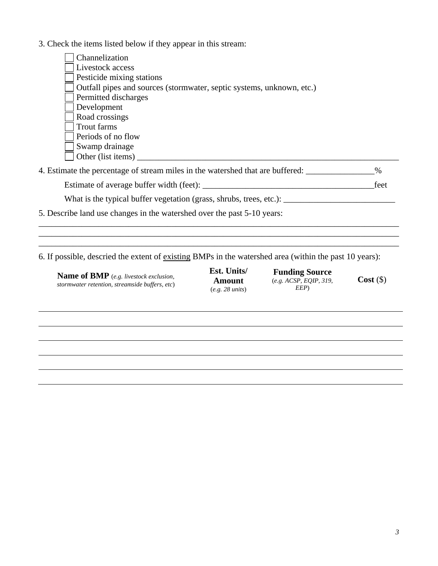3. Check the items listed below if they appear in this stream:

| Channelization                                                        |
|-----------------------------------------------------------------------|
| Livestock access                                                      |
| Pesticide mixing stations                                             |
| Outfall pipes and sources (stormwater, septic systems, unknown, etc.) |
| Permitted discharges                                                  |
| Development                                                           |
| Road crossings                                                        |
| Trout farms                                                           |
| Periods of no flow                                                    |
| Swamp drainage                                                        |
| Other (list items)                                                    |
|                                                                       |

| 4. Estimate the percentage of stream miles in the watershed that are buffered: |      |
|--------------------------------------------------------------------------------|------|
| Estimate of average buffer width (feet):                                       | feet |

\_\_\_\_\_\_\_\_\_\_\_\_\_\_\_\_\_\_\_\_\_\_\_\_\_\_\_\_\_\_\_\_\_\_\_\_\_\_\_\_\_\_\_\_\_\_\_\_\_\_\_\_\_\_\_\_\_\_\_\_\_\_\_\_\_\_\_\_\_\_\_\_\_\_\_\_\_\_\_\_\_\_\_\_ \_\_\_\_\_\_\_\_\_\_\_\_\_\_\_\_\_\_\_\_\_\_\_\_\_\_\_\_\_\_\_\_\_\_\_\_\_\_\_\_\_\_\_\_\_\_\_\_\_\_\_\_\_\_\_\_\_\_\_\_\_\_\_\_\_\_\_\_\_\_\_\_\_\_\_\_\_\_\_\_\_\_\_\_ \_\_\_\_\_\_\_\_\_\_\_\_\_\_\_\_\_\_\_\_\_\_\_\_\_\_\_\_\_\_\_\_\_\_\_\_\_\_\_\_\_\_\_\_\_\_\_\_\_\_\_\_\_\_\_\_\_\_\_\_\_\_\_\_\_\_\_\_\_\_\_\_\_\_\_\_\_\_\_\_\_\_\_\_

What is the typical buffer vegetation (grass, shrubs, trees, etc.): \_\_\_\_\_\_\_\_\_\_\_\_\_\_\_\_\_\_\_\_\_\_\_\_\_\_

5. Describe land use changes in the watershed over the past 5-10 years:

6. If possible, descried the extent of existing BMPs in the watershed area (within the past 10 years):

**Name of BMP** (*e.g. livestock exclusion, stormwater retention, streamside buffers, etc*) **Est. Units/ Amount** (*e.g. 28 units*)

**Funding Source** (*e.g. ACSP, EQIP, 319, EEP*)

**Cost** (\$)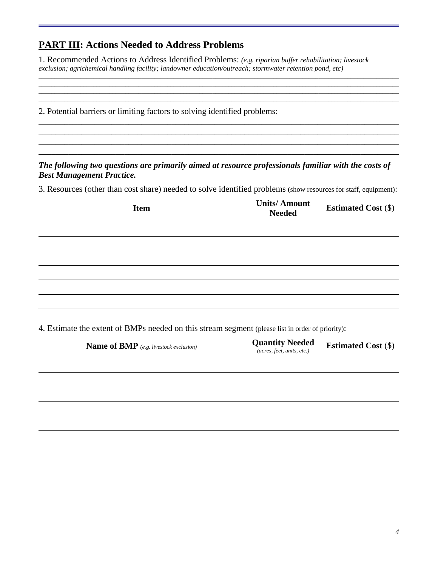### **PART III: Actions Needed to Address Problems**

1. Recommended Actions to Address Identified Problems: *(e.g. riparian buffer rehabilitation; livestock exclusion; agrichemical handling facility; landowner education/outreach; stormwater retention pond, etc)*

*\_\_\_\_\_\_\_\_\_\_\_\_\_\_\_\_\_\_\_\_\_\_\_\_\_\_\_\_\_\_\_\_\_\_\_\_\_\_\_\_\_\_\_\_\_\_\_\_\_\_\_\_\_\_\_\_\_\_\_\_\_\_\_\_\_\_\_\_\_\_\_\_\_\_\_\_\_\_\_\_\_\_\_\_\_\_\_\_\_\_\_\_\_\_\_\_\_\_\_\_\_\_\_\_\_\_\_\_\_\_\_\_ \_\_\_\_\_\_\_\_\_\_\_\_\_\_\_\_\_\_\_\_\_\_\_\_\_\_\_\_\_\_\_\_\_\_\_\_\_\_\_\_\_\_\_\_\_\_\_\_\_\_\_\_\_\_\_\_\_\_\_\_\_\_\_\_\_\_\_\_\_\_\_\_\_\_\_\_\_\_\_\_\_\_\_\_\_\_\_\_\_\_\_\_\_\_\_\_\_\_\_\_\_\_\_\_\_\_\_\_\_\_\_\_*

*\_\_\_\_\_\_\_\_\_\_\_\_\_\_\_\_\_\_\_\_\_\_\_\_\_\_\_\_\_\_\_\_\_\_\_\_\_\_\_\_\_\_\_\_\_\_\_\_\_\_\_\_\_\_\_\_\_\_\_\_\_\_\_\_\_\_\_\_\_\_\_\_\_\_\_\_\_\_\_\_\_\_\_\_\_\_\_\_\_\_\_\_\_\_\_\_\_\_\_\_\_\_\_\_\_\_\_\_\_\_\_\_ \_\_\_\_\_\_\_\_\_\_\_\_\_\_\_\_\_\_\_\_\_\_\_\_\_\_\_\_\_\_\_\_\_\_\_\_\_\_\_\_\_\_\_\_\_\_\_\_\_\_\_\_\_\_\_\_\_\_\_\_\_\_\_\_\_\_\_\_\_\_\_\_\_\_\_\_\_\_\_\_\_\_\_\_\_\_\_\_\_\_\_\_\_\_\_\_\_\_\_\_\_\_\_\_\_\_\_\_\_\_\_\_* 2. Potential barriers or limiting factors to solving identified problems: \_\_\_\_\_\_\_\_\_\_\_\_\_\_\_\_\_\_\_\_\_\_\_\_\_\_\_\_\_\_\_\_\_\_\_\_\_\_\_\_\_\_\_\_\_\_\_\_\_\_\_\_\_\_\_\_\_\_\_\_\_\_\_\_\_\_\_\_\_\_\_\_\_\_\_\_\_\_\_\_\_\_\_\_ \_\_\_\_\_\_\_\_\_\_\_\_\_\_\_\_\_\_\_\_\_\_\_\_\_\_\_\_\_\_\_\_\_\_\_\_\_\_\_\_\_\_\_\_\_\_\_\_\_\_\_\_\_\_\_\_\_\_\_\_\_\_\_\_\_\_\_\_\_\_\_\_\_\_\_\_\_\_\_\_\_\_\_\_ \_\_\_\_\_\_\_\_\_\_\_\_\_\_\_\_\_\_\_\_\_\_\_\_\_\_\_\_\_\_\_\_\_\_\_\_\_\_\_\_\_\_\_\_\_\_\_\_\_\_\_\_\_\_\_\_\_\_\_\_\_\_\_\_\_\_\_\_\_\_\_\_\_\_\_\_\_\_\_\_\_\_\_\_ \_\_\_\_\_\_\_\_\_\_\_\_\_\_\_\_\_\_\_\_\_\_\_\_\_\_\_\_\_\_\_\_\_\_\_\_\_\_\_\_\_\_\_\_\_\_\_\_\_\_\_\_\_\_\_\_\_\_\_\_\_\_\_\_\_\_\_\_\_\_\_\_\_\_\_\_\_\_\_\_\_\_\_\_ *The following two questions are primarily aimed at resource professionals familiar with the costs of Best Management Practice.*  3. Resources (other than cost share) needed to solve identified problems (show resources for staff, equipment): **Item Units/ Amount Estimated Cost** (\$) 4. Estimate the extent of BMPs needed on this stream segment (please list in order of priority): **Name of BMP** *(e.g. livestock exclusion)* **Quantity Needed** *(acres, feet, units, etc.)* **Estimated Cost** (\$)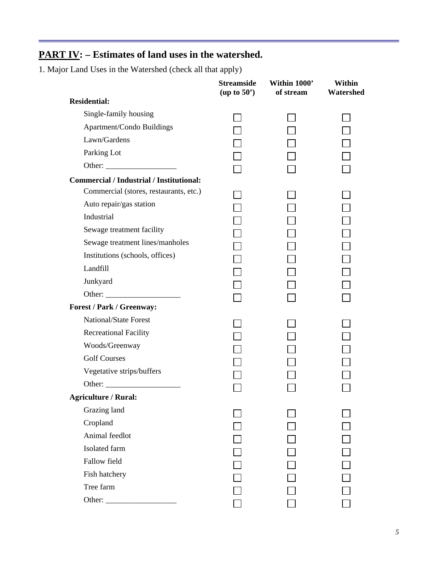## **PART IV: – Estimates of land uses in the watershed.**

1. Major Land Uses in the Watershed (check all that apply)

|                                                 | <b>Streamside</b><br>(up to 50') | Within 1000'<br>of stream | <b>Within</b><br>Watershed |
|-------------------------------------------------|----------------------------------|---------------------------|----------------------------|
| <b>Residential:</b>                             |                                  |                           |                            |
| Single-family housing                           |                                  |                           |                            |
| <b>Apartment/Condo Buildings</b>                |                                  |                           |                            |
| Lawn/Gardens                                    |                                  |                           |                            |
| Parking Lot                                     |                                  |                           |                            |
|                                                 |                                  |                           |                            |
| <b>Commercial / Industrial / Institutional:</b> |                                  |                           |                            |
| Commercial (stores, restaurants, etc.)          |                                  |                           |                            |
| Auto repair/gas station                         |                                  |                           |                            |
| Industrial                                      |                                  |                           |                            |
| Sewage treatment facility                       |                                  |                           |                            |
| Sewage treatment lines/manholes                 |                                  |                           |                            |
| Institutions (schools, offices)                 |                                  |                           |                            |
| Landfill                                        |                                  |                           |                            |
| Junkyard                                        |                                  |                           |                            |
|                                                 |                                  |                           |                            |
| Forest / Park / Greenway:                       |                                  |                           |                            |
| <b>National/State Forest</b>                    |                                  |                           |                            |
| <b>Recreational Facility</b>                    |                                  |                           |                            |
| Woods/Greenway                                  |                                  |                           |                            |
| <b>Golf Courses</b>                             |                                  |                           |                            |
| Vegetative strips/buffers                       |                                  |                           |                            |
|                                                 |                                  |                           |                            |
| Agriculture / Rural:                            |                                  |                           |                            |
| Grazing land                                    |                                  |                           |                            |
| Cropland                                        |                                  |                           |                            |
| Animal feedlot                                  |                                  |                           |                            |
| Isolated farm                                   |                                  |                           |                            |
| Fallow field                                    |                                  |                           |                            |
| Fish hatchery                                   |                                  |                           |                            |
| Tree farm                                       |                                  |                           |                            |
|                                                 |                                  |                           |                            |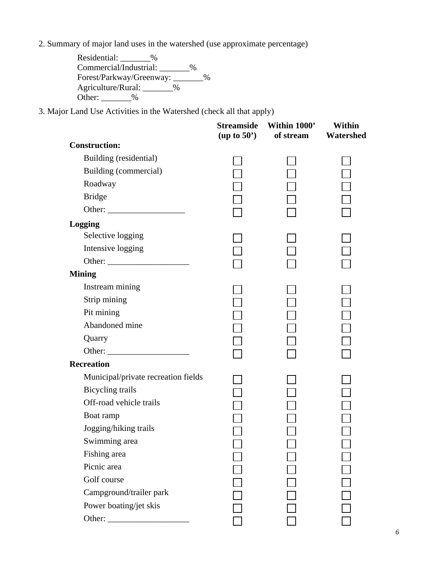2. Summary of major land uses in the watershed (use approximate percentage)

| Residential:<br>%        |   |               |
|--------------------------|---|---------------|
| Commercial/Industrial:   | % |               |
| Forest/Parkway/Greenway: |   | $\frac{0}{0}$ |
| Agriculture/Rural:<br>%  |   |               |
| Other:<br>℆              |   |               |

3. Major Land Use Activities in the Watershed (check all that apply)

|                                     | <b>Streamside</b><br>(up to 50') | Within 1000'<br>of stream | <b>Within</b><br>Watershed |
|-------------------------------------|----------------------------------|---------------------------|----------------------------|
| <b>Construction:</b>                |                                  |                           |                            |
| Building (residential)              |                                  |                           |                            |
| Building (commercial)               |                                  |                           |                            |
| Roadway                             |                                  |                           |                            |
| <b>Bridge</b>                       |                                  |                           |                            |
|                                     |                                  |                           |                            |
| Logging                             |                                  |                           |                            |
| Selective logging                   |                                  |                           |                            |
| Intensive logging                   |                                  |                           |                            |
|                                     |                                  |                           |                            |
| <b>Mining</b>                       |                                  |                           |                            |
| Instream mining                     |                                  |                           |                            |
| Strip mining                        |                                  |                           |                            |
| Pit mining                          |                                  |                           |                            |
| Abandoned mine                      |                                  |                           |                            |
| Quarry                              |                                  |                           |                            |
|                                     |                                  |                           |                            |
| <b>Recreation</b>                   |                                  |                           |                            |
| Municipal/private recreation fields |                                  |                           |                            |
| <b>Bicycling</b> trails             |                                  |                           |                            |
| Off-road vehicle trails             |                                  |                           |                            |
| Boat ramp                           |                                  |                           |                            |
| Jogging/hiking trails               |                                  |                           |                            |
| Swimming area                       |                                  |                           |                            |
| Fishing area                        |                                  |                           |                            |
| Picnic area                         |                                  |                           |                            |
| Golf course                         |                                  |                           |                            |
| Campground/trailer park             |                                  |                           |                            |
| Power boating/jet skis              |                                  |                           |                            |
| Other:                              |                                  |                           |                            |